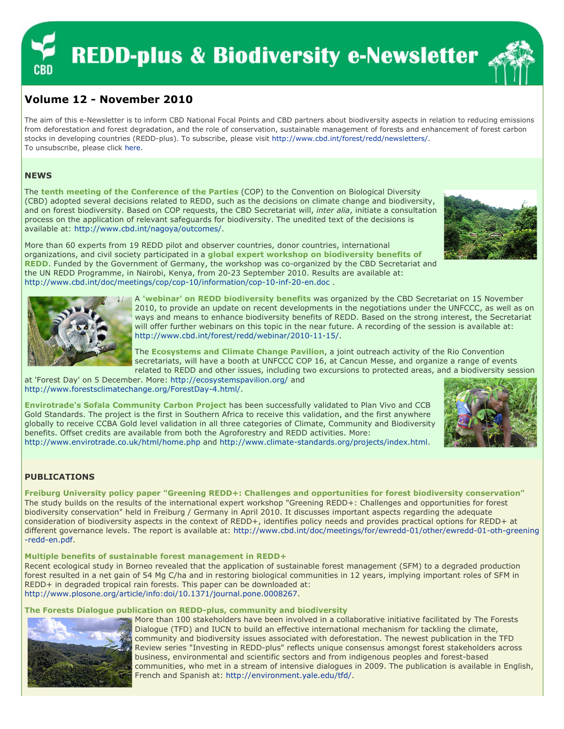# **REDD-plus & Biodiversity e-Newsletter**



# Volume 12 - November 2010

The aim of this e-Newsletter is to inform CBD National Focal Points and CBD partners about biodiversity aspects in relation to reducing emissions from deforestation and forest degradation, and the role of conservation, sustainable management of forests and enhancement of forest carbon stocks in developing countries (REDD-plus). To subscribe, please visit http://www.cbd.int/forest/redd/newsletters/. To unsubscribe, please click here.

## **NEWS**

The tenth meeting of the Conference of the Parties (COP) to the Convention on Biological Diversity (CBD) adopted several decisions related to REDD, such as the decisions on climate change and biodiversity, and on forest biodiversity. Based on COP requests, the CBD Secretariat will, inter alia, initiate a consultation process on the application of relevant safeguards for biodiversity. The unedited text of the decisions is available at: http://www.cbd.int/nagoya/outcomes/.



More than 60 experts from 19 REDD pilot and observer countries, donor countries, international organizations, and civil society participated in a global expert workshop on biodiversity benefits of REDD. Funded by the Government of Germany, the workshop was co-organized by the CBD Secretariat and the UN REDD Programme, in Nairobi, Kenya, from 20-23 September 2010. Results are available at: http://www.cbd.int/doc/meetings/cop/cop-10/information/cop-10-inf-20-en.doc .



A 'webinar' on REDD biodiversity benefits was organized by the CBD Secretariat on 15 November 2010, to provide an update on recent developments in the negotiations under the UNFCCC, as well as on ways and means to enhance biodiversity benefits of REDD. Based on the strong interest, the Secretariat will offer further webinars on this topic in the near future. A recording of the session is available at: http://www.cbd.int/forest/redd/webinar/2010-11-15/.

The Ecosystems and Climate Change Pavilion, a joint outreach activity of the Rio Convention secretariats, will have a booth at UNFCCC COP 16, at Cancun Messe, and organize a range of events related to REDD and other issues, including two excursions to protected areas, and a biodiversity session

at 'Forest Day' on 5 December. More: http://ecosystemspavilion.org/ and http://www.forestsclimatechange.org/ForestDay-4.html/.

Envirotrade's Sofala Community Carbon Project has been successfully validated to Plan Vivo and CCB Gold Standards. The project is the first in Southern Africa to receive this validation, and the first anywhere globally to receive CCBA Gold level validation in all three categories of Climate, Community and Biodiversity benefits. Offset credits are available from both the Agroforestry and REDD activities. More:



http://www.envirotrade.co.uk/html/home.php and http://www.climate-standards.org/projects/index.html.

# PUBLICATIONS

Freiburg University policy paper "Greening REDD+: Challenges and opportunities for forest biodiversity conservation" The study builds on the results of the international expert workshop "Greening REDD+: Challenges and opportunities for forest biodiversity conservation" held in Freiburg / Germany in April 2010. It discusses important aspects regarding the adequate consideration of biodiversity aspects in the context of REDD+, identifies policy needs and provides practical options for REDD+ at different governance levels. The report is available at: http://www.cbd.int/doc/meetings/for/ewredd-01/other/ewredd-01-oth-greening -redd-en.pdf.

### Multiple benefits of sustainable forest management in REDD+

Recent ecological study in Borneo revealed that the application of sustainable forest management (SFM) to a degraded production forest resulted in a net gain of 54 Mg C/ha and in restoring biological communities in 12 years, implying important roles of SFM in REDD+ in degraded tropical rain forests. This paper can be downloaded at: http://www.plosone.org/article/info:doi/10.1371/journal.pone.0008267.

### The Forests Dialogue publication on REDD-plus, community and biodiversity



More than 100 stakeholders have been involved in a collaborative initiative facilitated by The Forests Dialogue (TFD) and IUCN to build an effective international mechanism for tackling the climate, community and biodiversity issues associated with deforestation. The newest publication in the TFD Review series "Investing in REDD-plus" reflects unique consensus amongst forest stakeholders across business, environmental and scientific sectors and from indigenous peoples and forest-based communities, who met in a stream of intensive dialogues in 2009. The publication is available in English, French and Spanish at: http://environment.yale.edu/tfd/.